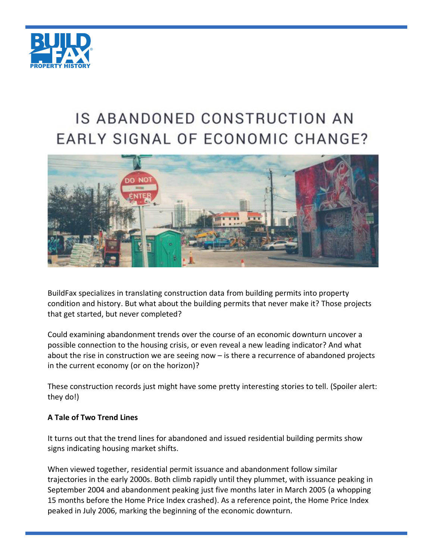

# IS ABANDONED CONSTRUCTION AN EARLY SIGNAL OF ECONOMIC CHANGE?



BuildFax specializes in translating construction data from building permits into property condition and history. But what about the building permits that never make it? Those projects that get started, but never completed?

Could examining abandonment trends over the course of an economic downturn uncover a possible connection to the housing crisis, or even reveal a new leading indicator? And what about the rise in construction we are seeing now – is there a recurrence of abandoned projects in the current economy (or on the horizon)?

These construction records just might have some pretty interesting stories to tell. (Spoiler alert: they do!)

## **A Tale of Two Trend Lines**

It turns out that the trend lines for abandoned and issued residential building permits show signs indicating housing market shifts.

When viewed together, residential permit issuance and abandonment follow similar trajectories in the early 2000s. Both climb rapidly until they plummet, with issuance peaking in September 2004 and abandonment peaking just five months later in March 2005 (a whopping 15 months before the Home Price Index crashed). As a reference point, the Home Price Index peaked in July 2006, marking the beginning of the economic downturn.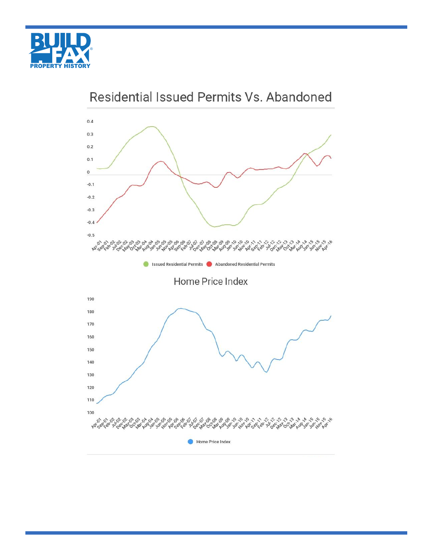



Residential Issued Permits Vs. Abandoned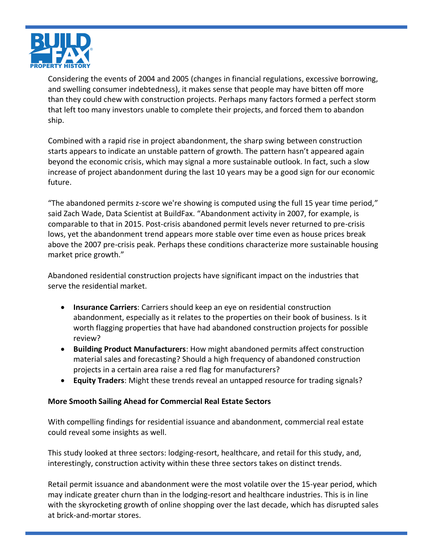

Considering the events of 2004 and 2005 (changes in financial regulations, excessive borrowing, and swelling consumer indebtedness), it makes sense that people may have bitten off more than they could chew with construction projects. Perhaps many factors formed a perfect storm that left too many investors unable to complete their projects, and forced them to abandon ship.

Combined with a rapid rise in project abandonment, the sharp swing between construction starts appears to indicate an unstable pattern of growth. The pattern hasn't appeared again beyond the economic crisis, which may signal a more sustainable outlook. In fact, such a slow increase of project abandonment during the last 10 years may be a good sign for our economic future.

"The abandoned permits z-score we're showing is computed using the full 15 year time period," said Zach Wade, Data Scientist at BuildFax. "Abandonment activity in 2007, for example, is comparable to that in 2015. Post-crisis abandoned permit levels never returned to pre-crisis lows, yet the abandonment trend appears more stable over time even as house prices break above the 2007 pre-crisis peak. Perhaps these conditions characterize more sustainable housing market price growth."

Abandoned residential construction projects have significant impact on the industries that serve the residential market.

- **Insurance Carriers**: Carriers should keep an eye on residential construction abandonment, especially as it relates to the properties on their book of business. Is it worth flagging properties that have had abandoned construction projects for possible review?
- **Building Product Manufacturers**: How might abandoned permits affect construction material sales and forecasting? Should a high frequency of abandoned construction projects in a certain area raise a red flag for manufacturers?
- **Equity Traders**: Might these trends reveal an untapped resource for trading signals?

## **More Smooth Sailing Ahead for Commercial Real Estate Sectors**

With compelling findings for residential issuance and abandonment, commercial real estate could reveal some insights as well.

This study looked at three sectors: lodging-resort, healthcare, and retail for this study, and, interestingly, construction activity within these three sectors takes on distinct trends.

Retail permit issuance and abandonment were the most volatile over the 15-year period, which may indicate greater churn than in the lodging-resort and healthcare industries. This is in line with the skyrocketing growth of online shopping over the last decade, which has disrupted sales at brick-and-mortar stores.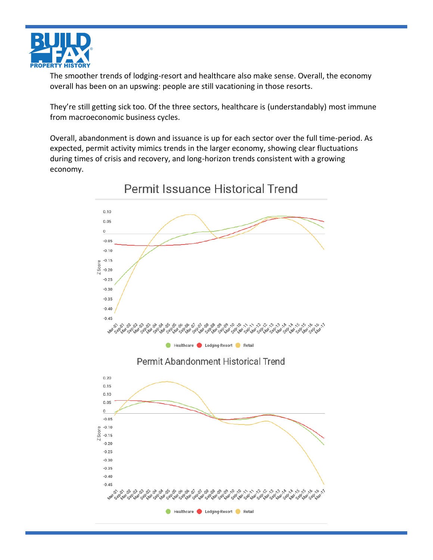

The smoother trends of lodging-resort and healthcare also make sense. Overall, the economy overall has been on an upswing: people are still vacationing in those resorts.

They're still getting sick too. Of the three sectors, healthcare is (understandably) most immune from macroeconomic business cycles.

Overall, abandonment is down and issuance is up for each sector over the full time-period. As expected, permit activity mimics trends in the larger economy, showing clear fluctuations during times of crisis and recovery, and long-horizon trends consistent with a growing economy.

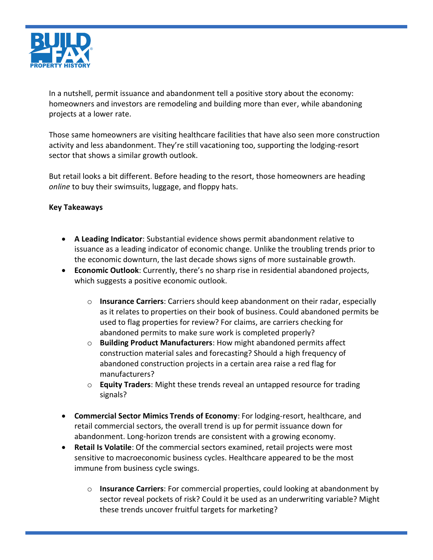

In a nutshell, permit issuance and abandonment tell a positive story about the economy: homeowners and investors are remodeling and building more than ever, while abandoning projects at a lower rate.

Those same homeowners are visiting healthcare facilities that have also seen more construction activity and less abandonment. They're still vacationing too, supporting the lodging-resort sector that shows a similar growth outlook.

But retail looks a bit different. Before heading to the resort, those homeowners are heading *online* to buy their swimsuits, luggage, and floppy hats.

## **Key Takeaways**

- **A Leading Indicator**: Substantial evidence shows permit abandonment relative to issuance as a leading indicator of economic change. Unlike the troubling trends prior to the economic downturn, the last decade shows signs of more sustainable growth.
- **Economic Outlook**: Currently, there's no sharp rise in residential abandoned projects, which suggests a positive economic outlook.
	- o **Insurance Carriers**: Carriers should keep abandonment on their radar, especially as it relates to properties on their book of business. Could abandoned permits be used to flag properties for review? For claims, are carriers checking for abandoned permits to make sure work is completed properly?
	- o **Building Product Manufacturers**: How might abandoned permits affect construction material sales and forecasting? Should a high frequency of abandoned construction projects in a certain area raise a red flag for manufacturers?
	- o **Equity Traders**: Might these trends reveal an untapped resource for trading signals?
- **Commercial Sector Mimics Trends of Economy**: For lodging-resort, healthcare, and retail commercial sectors, the overall trend is up for permit issuance down for abandonment. Long-horizon trends are consistent with a growing economy.
- **Retail Is Volatile**: Of the commercial sectors examined, retail projects were most sensitive to macroeconomic business cycles. Healthcare appeared to be the most immune from business cycle swings.
	- o **Insurance Carriers**: For commercial properties, could looking at abandonment by sector reveal pockets of risk? Could it be used as an underwriting variable? Might these trends uncover fruitful targets for marketing?